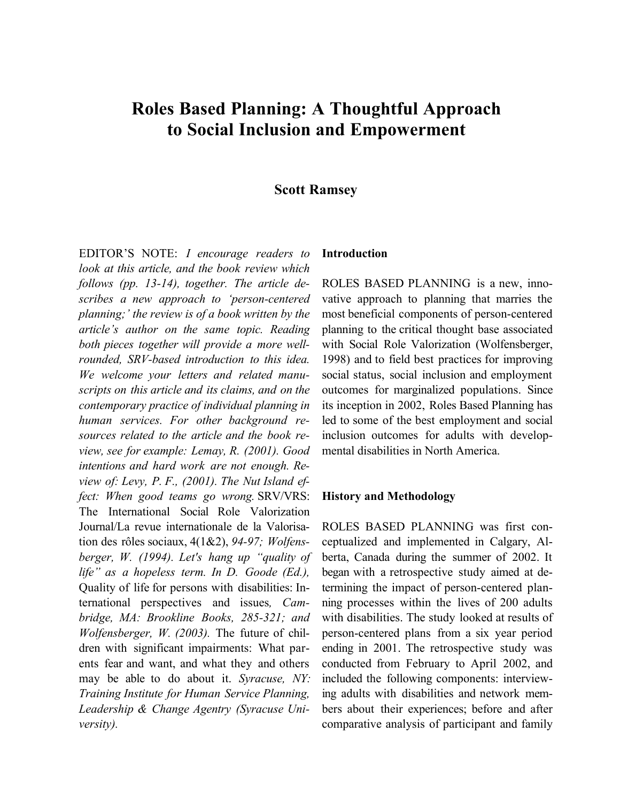# **Roles Based Planning: A Thoughtful Approach to Social Inclusion and Empowerment**

### **Scott Ramsey**

EDITOR'S NOTE: *I encourage readers to look at this article, and the book review which follows (pp. 13-14), together. The article describes a new approach to 'person-centered planning;' the review is of a book written by the article's author on the same topic. Reading both pieces together will provide a more wellrounded, SRV-based introduction to this idea. We welcome your letters and related manuscripts on this article and its claims, and on the contemporary practice of individual planning in human services. For other background resources related to the article and the book review, see for example: Lemay, R. (2001). Good intentions and hard work are not enough. Review of: Levy, P. F., (2001). The Nut Island effect: When good teams go wrong.* SRV/VRS: The International Social Role Valorization Journal/La revue internationale de la Valorisation des rôles sociaux, 4(1&2), *94-97; Wolfensberger, W. (1994). Let's hang up "quality of life" as a hopeless term. In D. Goode (Ed.),*  Quality of life for persons with disabilities: International perspectives and issues*, Cambridge, MA: Brookline Books, 285-321; and Wolfensberger, W. (2003).* The future of children with significant impairments: What parents fear and want, and what they and others may be able to do about it. *Syracuse, NY: Training Institute for Human Service Planning, Leadership & Change Agentry (Syracuse University).*

#### **Introduction**

ROLES BASED PLANNING is a new, innovative approach to planning that marries the most beneficial components of person-centered planning to the critical thought base associated with Social Role Valorization (Wolfensberger, 1998) and to field best practices for improving social status, social inclusion and employment outcomes for marginalized populations. Since its inception in 2002, Roles Based Planning has led to some of the best employment and social inclusion outcomes for adults with developmental disabilities in North America.

#### **History and Methodology**

ROLES BASED PLANNING was first conceptualized and implemented in Calgary, Alberta, Canada during the summer of 2002. It began with a retrospective study aimed at determining the impact of person-centered planning processes within the lives of 200 adults with disabilities. The study looked at results of person-centered plans from a six year period ending in 2001. The retrospective study was conducted from February to April 2002, and included the following components: interviewing adults with disabilities and network members about their experiences; before and after comparative analysis of participant and family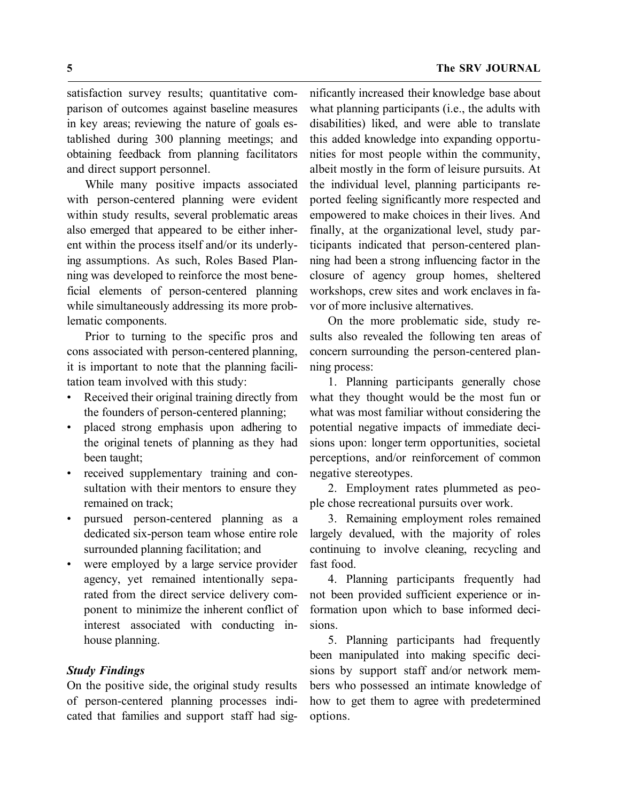satisfaction survey results; quantitative comparison of outcomes against baseline measures in key areas; reviewing the nature of goals established during 300 planning meetings; and obtaining feedback from planning facilitators and direct support personnel.

While many positive impacts associated with person-centered planning were evident within study results, several problematic areas also emerged that appeared to be either inherent within the process itself and/or its underlying assumptions. As such, Roles Based Planning was developed to reinforce the most beneficial elements of person-centered planning while simultaneously addressing its more problematic components.

Prior to turning to the specific pros and cons associated with person-centered planning, it is important to note that the planning facilitation team involved with this study:

- Received their original training directly from the founders of person-centered planning;
- placed strong emphasis upon adhering to the original tenets of planning as they had been taught;
- received supplementary training and consultation with their mentors to ensure they remained on track;
- pursued person-centered planning as a dedicated six-person team whose entire role surrounded planning facilitation; and
- were employed by a large service provider agency, yet remained intentionally separated from the direct service delivery component to minimize the inherent conflict of interest associated with conducting inhouse planning.

### *Study Findings*

On the positive side, the original study results of person-centered planning processes indicated that families and support staff had sig-

nificantly increased their knowledge base about what planning participants (i.e., the adults with disabilities) liked, and were able to translate this added knowledge into expanding opportunities for most people within the community, albeit mostly in the form of leisure pursuits. At the individual level, planning participants reported feeling significantly more respected and empowered to make choices in their lives. And finally, at the organizational level, study participants indicated that person-centered planning had been a strong influencing factor in the closure of agency group homes, sheltered workshops, crew sites and work enclaves in favor of more inclusive alternatives.

On the more problematic side, study results also revealed the following ten areas of concern surrounding the person-centered planning process:

1. Planning participants generally chose what they thought would be the most fun or what was most familiar without considering the potential negative impacts of immediate decisions upon: longer term opportunities, societal perceptions, and/or reinforcement of common negative stereotypes.

2. Employment rates plummeted as people chose recreational pursuits over work.

3. Remaining employment roles remained largely devalued, with the majority of roles continuing to involve cleaning, recycling and fast food.

4. Planning participants frequently had not been provided sufficient experience or information upon which to base informed decisions.

5. Planning participants had frequently been manipulated into making specific decisions by support staff and/or network members who possessed an intimate knowledge of how to get them to agree with predetermined options.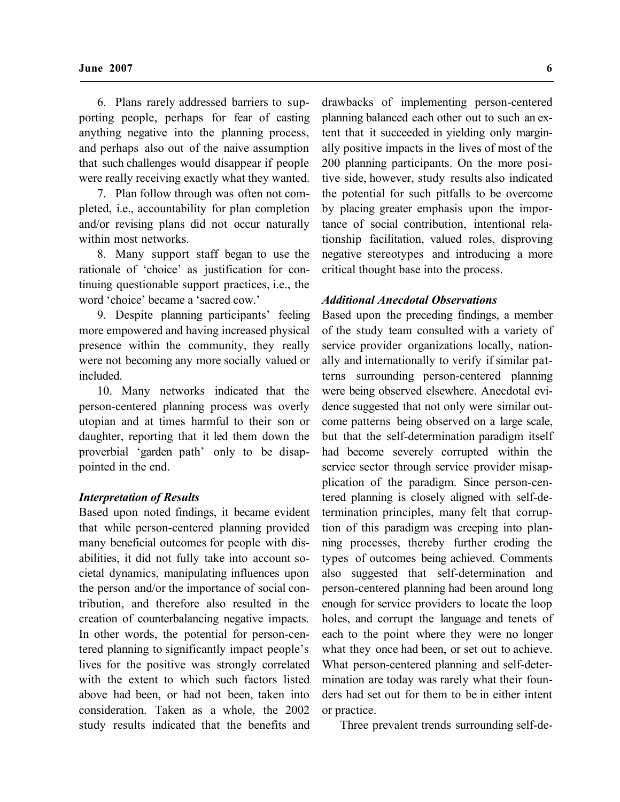6. Plans rarely addressed barriers to supporting people, perhaps for fear of casting anything negative into the planning process, and perhaps also out of the naive assumption that such challenges would disappear if people were really receiving exactly what they wanted.

7. Plan follow through was often not completed, i.e., accountability for plan completion and/or revising plans did not occur naturally within most networks.

8. Many support staff began to use the rationale of 'choice' as justification for continuing questionable support practices, i.e., the word 'choice' became a 'sacred cow.'

9. Despite planning participants' feeling more empowered and having increased physical presence within the community, they really were not becoming any more socially valued or included.

10. Many networks indicated that the person-centered planning process was overly utopian and at times harmful to their son or daughter, reporting that it led them down the proverbial 'garden path' only to be disappointed in the end.

#### *Interpretation of Results*

Based upon noted findings, it became evident that while person-centered planning provided many beneficial outcomes for people with disabilities, it did not fully take into account societal dynamics, manipulating influences upon the person and/or the importance of social contribution, and therefore also resulted in the creation of counterbalancing negative impacts. In other words, the potential for person-centered planning to significantly impact people's lives for the positive was strongly correlated with the extent to which such factors listed above had been, or had not been, taken into consideration. Taken as a whole, the 2002 study results indicated that the benefits and

drawbacks of implementing person-centered planning balanced each other out to such an extent that it succeeded in yielding only marginally positive impacts in the lives of most of the 200 planning participants. On the more positive side, however, study results also indicated the potential for such pitfalls to be overcome by placing greater emphasis upon the importance of social contribution, intentional relationship facilitation, valued roles, disproving negative stereotypes and introducing a more critical thought base into the process.

#### *Additional Anecdotal Observations*

Based upon the preceding findings, a member of the study team consulted with a variety of service provider organizations locally, nationally and internationally to verify if similar patterns surrounding person-centered planning were being observed elsewhere. Anecdotal evidence suggested that not only were similar outcome patterns being observed on a large scale, but that the self-determination paradigm itself had become severely corrupted within the service sector through service provider misapplication of the paradigm. Since person-centered planning is closely aligned with self-determination principles, many felt that corruption of this paradigm was creeping into planning processes, thereby further eroding the types of outcomes being achieved. Comments also suggested that self-determination and person-centered planning had been around long enough for service providers to locate the loop holes, and corrupt the language and tenets of each to the point where they were no longer what they once had been, or set out to achieve. What person-centered planning and self-determination are today was rarely what their founders had set out for them to be in either intent or practice.

Three prevalent trends surrounding self-de-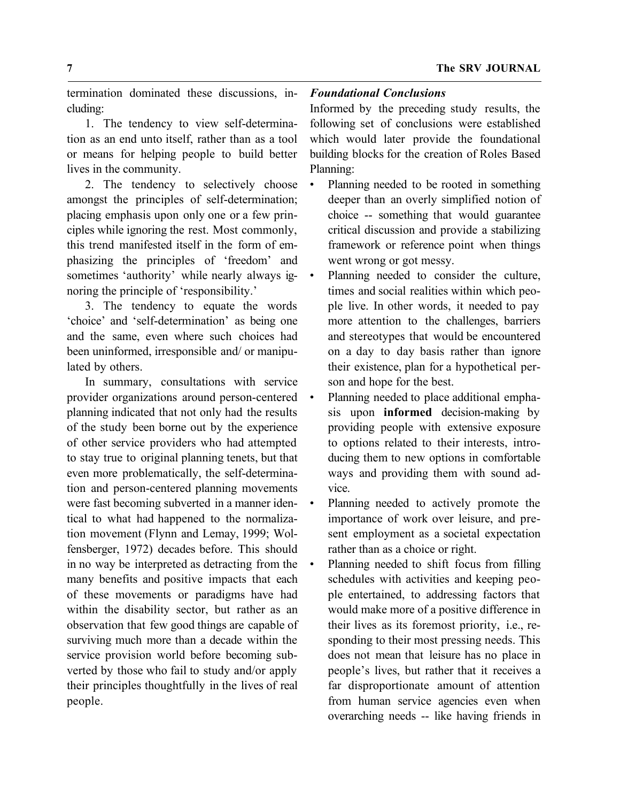termination dominated these discussions, including:

1. The tendency to view self-determination as an end unto itself, rather than as a tool or means for helping people to build better lives in the community.

2. The tendency to selectively choose amongst the principles of self-determination; placing emphasis upon only one or a few principles while ignoring the rest. Most commonly, this trend manifested itself in the form of emphasizing the principles of 'freedom' and sometimes 'authority' while nearly always ignoring the principle of 'responsibility.'

3. The tendency to equate the words 'choice' and 'self-determination' as being one and the same, even where such choices had been uninformed, irresponsible and/ or manipulated by others.

In summary, consultations with service provider organizations around person-centered planning indicated that not only had the results of the study been borne out by the experience of other service providers who had attempted to stay true to original planning tenets, but that even more problematically, the self-determination and person-centered planning movements were fast becoming subverted in a manner identical to what had happened to the normalization movement (Flynn and Lemay, 1999; Wolfensberger, 1972) decades before. This should in no way be interpreted as detracting from the many benefits and positive impacts that each of these movements or paradigms have had within the disability sector, but rather as an observation that few good things are capable of surviving much more than a decade within the service provision world before becoming subverted by those who fail to study and/or apply their principles thoughtfully in the lives of real people.

# *Foundational Conclusions*

Informed by the preceding study results, the following set of conclusions were established which would later provide the foundational building blocks for the creation of Roles Based Planning:

- Planning needed to be rooted in something deeper than an overly simplified notion of choice -- something that would guarantee critical discussion and provide a stabilizing framework or reference point when things went wrong or got messy.
- Planning needed to consider the culture, times and social realities within which people live. In other words, it needed to pay more attention to the challenges, barriers and stereotypes that would be encountered on a day to day basis rather than ignore their existence, plan for a hypothetical person and hope for the best.
- Planning needed to place additional emphasis upon **informed** decision-making by providing people with extensive exposure to options related to their interests, introducing them to new options in comfortable ways and providing them with sound advice.
- Planning needed to actively promote the importance of work over leisure, and present employment as a societal expectation rather than as a choice or right.
- Planning needed to shift focus from filling schedules with activities and keeping people entertained, to addressing factors that would make more of a positive difference in their lives as its foremost priority, i.e., responding to their most pressing needs. This does not mean that leisure has no place in people's lives, but rather that it receives a far disproportionate amount of attention from human service agencies even when overarching needs -- like having friends in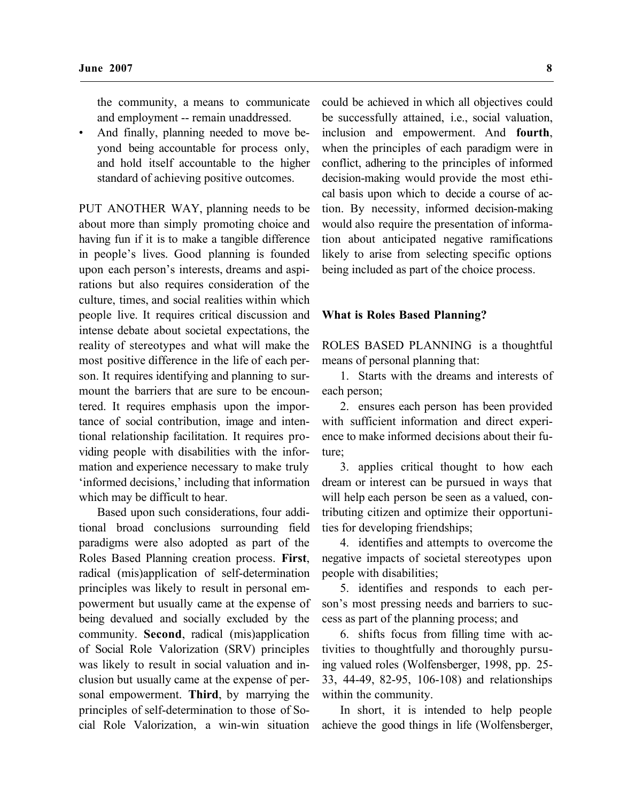the community, a means to communicate and employment -- remain unaddressed.

• And finally, planning needed to move beyond being accountable for process only, and hold itself accountable to the higher standard of achieving positive outcomes.

PUT ANOTHER WAY, planning needs to be about more than simply promoting choice and having fun if it is to make a tangible difference in people's lives. Good planning is founded upon each person's interests, dreams and aspirations but also requires consideration of the culture, times, and social realities within which people live. It requires critical discussion and intense debate about societal expectations, the reality of stereotypes and what will make the most positive difference in the life of each person. It requires identifying and planning to surmount the barriers that are sure to be encountered. It requires emphasis upon the importance of social contribution, image and intentional relationship facilitation. It requires providing people with disabilities with the information and experience necessary to make truly 'informed decisions,' including that information which may be difficult to hear.

Based upon such considerations, four additional broad conclusions surrounding field paradigms were also adopted as part of the Roles Based Planning creation process. **First**, radical (mis)application of self-determination principles was likely to result in personal empowerment but usually came at the expense of being devalued and socially excluded by the community. **Second**, radical (mis)application of Social Role Valorization (SRV) principles was likely to result in social valuation and inclusion but usually came at the expense of personal empowerment. **Third**, by marrying the principles of self-determination to those of Social Role Valorization, a win-win situation

could be achieved in which all objectives could be successfully attained, i.e., social valuation, inclusion and empowerment. And **fourth**, when the principles of each paradigm were in conflict, adhering to the principles of informed decision-making would provide the most ethical basis upon which to decide a course of action. By necessity, informed decision-making would also require the presentation of information about anticipated negative ramifications likely to arise from selecting specific options being included as part of the choice process.

#### **What is Roles Based Planning?**

ROLES BASED PLANNING is a thoughtful means of personal planning that:

1. Starts with the dreams and interests of each person;

2. ensures each person has been provided with sufficient information and direct experience to make informed decisions about their future;

3. applies critical thought to how each dream or interest can be pursued in ways that will help each person be seen as a valued, contributing citizen and optimize their opportunities for developing friendships;

4. identifies and attempts to overcome the negative impacts of societal stereotypes upon people with disabilities;

5. identifies and responds to each person's most pressing needs and barriers to success as part of the planning process; and

6. shifts focus from filling time with activities to thoughtfully and thoroughly pursuing valued roles (Wolfensberger, 1998, pp. 25- 33, 44-49, 82-95, 106-108) and relationships within the community.

In short, it is intended to help people achieve the good things in life (Wolfensberger,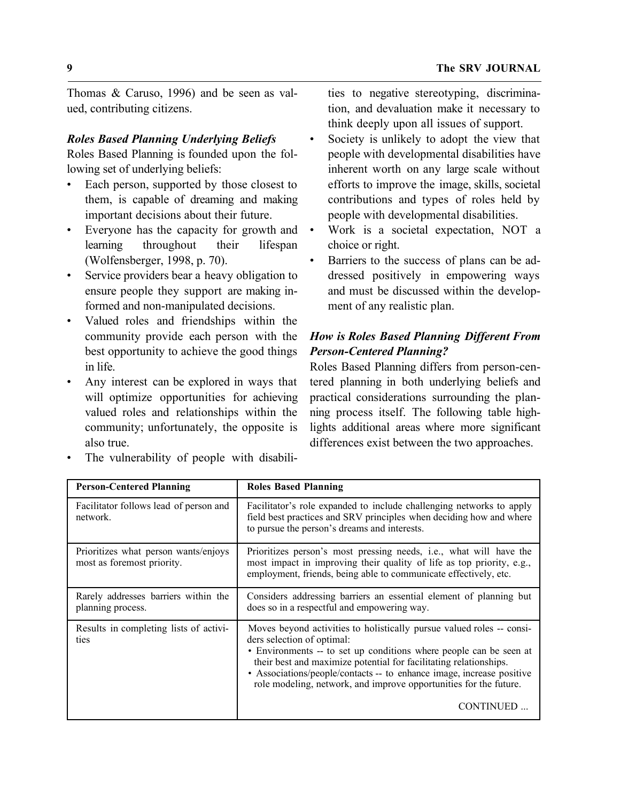Thomas & Caruso, 1996) and be seen as valued, contributing citizens.

# *Roles Based Planning Underlying Beliefs*

Roles Based Planning is founded upon the following set of underlying beliefs:

- Each person, supported by those closest to them, is capable of dreaming and making important decisions about their future.
- Everyone has the capacity for growth and learning throughout their lifespan (Wolfensberger, 1998, p. 70).
- Service providers bear a heavy obligation to ensure people they support are making informed and non-manipulated decisions.
- Valued roles and friendships within the community provide each person with the best opportunity to achieve the good things in life.
- Any interest can be explored in ways that will optimize opportunities for achieving valued roles and relationships within the community; unfortunately, the opposite is also true.
- The vulnerability of people with disabili-

ties to negative stereotyping, discrimination, and devaluation make it necessary to think deeply upon all issues of support.

- Society is unlikely to adopt the view that people with developmental disabilities have inherent worth on any large scale without efforts to improve the image, skills, societal contributions and types of roles held by people with developmental disabilities.
- Work is a societal expectation, NOT a choice or right.
- Barriers to the success of plans can be addressed positively in empowering ways and must be discussed within the development of any realistic plan.

# *How is Roles Based Planning Different From Person-Centered Planning?*

Roles Based Planning differs from person-centered planning in both underlying beliefs and practical considerations surrounding the planning process itself. The following table highlights additional areas where more significant differences exist between the two approaches.

| <b>Person-Centered Planning</b>                                    | <b>Roles Based Planning</b>                                                                                                                                                                                                                                                                                                                                                                 |
|--------------------------------------------------------------------|---------------------------------------------------------------------------------------------------------------------------------------------------------------------------------------------------------------------------------------------------------------------------------------------------------------------------------------------------------------------------------------------|
| Facilitator follows lead of person and<br>network.                 | Facilitator's role expanded to include challenging networks to apply<br>field best practices and SRV principles when deciding how and where<br>to pursue the person's dreams and interests.                                                                                                                                                                                                 |
| Prioritizes what person wants/enjoys<br>most as foremost priority. | Prioritizes person's most pressing needs, i.e., what will have the<br>most impact in improving their quality of life as top priority, e.g.,<br>employment, friends, being able to communicate effectively, etc.                                                                                                                                                                             |
| Rarely addresses barriers within the<br>planning process.          | Considers addressing barriers an essential element of planning but<br>does so in a respectful and empowering way.                                                                                                                                                                                                                                                                           |
| Results in completing lists of activi-<br>ties                     | Moves beyond activities to holistically pursue valued roles – consi-<br>ders selection of optimal:<br>• Environments -- to set up conditions where people can be seen at<br>their best and maximize potential for facilitating relationships.<br>• Associations/people/contacts -- to enhance image, increase positive<br>role modeling, network, and improve opportunities for the future. |
|                                                                    | CONTINUED                                                                                                                                                                                                                                                                                                                                                                                   |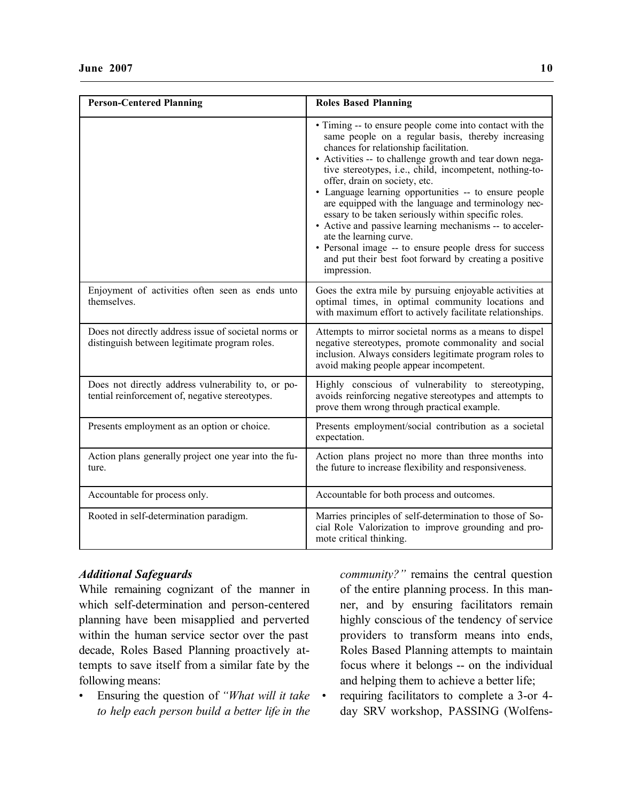| <b>Person-Centered Planning</b>                                                                       | <b>Roles Based Planning</b>                                                                                                                                                                                                                                                                                                                                                                                                                                                                                                                                                                                                                                                                                    |
|-------------------------------------------------------------------------------------------------------|----------------------------------------------------------------------------------------------------------------------------------------------------------------------------------------------------------------------------------------------------------------------------------------------------------------------------------------------------------------------------------------------------------------------------------------------------------------------------------------------------------------------------------------------------------------------------------------------------------------------------------------------------------------------------------------------------------------|
|                                                                                                       | • Timing -- to ensure people come into contact with the<br>same people on a regular basis, thereby increasing<br>chances for relationship facilitation.<br>• Activities -- to challenge growth and tear down nega-<br>tive stereotypes, i.e., child, incompetent, nothing-to-<br>offer, drain on society, etc.<br>• Language learning opportunities -- to ensure people<br>are equipped with the language and terminology nec-<br>essary to be taken seriously within specific roles.<br>• Active and passive learning mechanisms -- to acceler-<br>ate the learning curve.<br>• Personal image -- to ensure people dress for success<br>and put their best foot forward by creating a positive<br>impression. |
| Enjoyment of activities often seen as ends unto<br>themselves.                                        | Goes the extra mile by pursuing enjoyable activities at<br>optimal times, in optimal community locations and<br>with maximum effort to actively facilitate relationships.                                                                                                                                                                                                                                                                                                                                                                                                                                                                                                                                      |
| Does not directly address issue of societal norms or<br>distinguish between legitimate program roles. | Attempts to mirror societal norms as a means to dispel<br>negative stereotypes, promote commonality and social<br>inclusion. Always considers legitimate program roles to<br>avoid making people appear incompetent.                                                                                                                                                                                                                                                                                                                                                                                                                                                                                           |
| Does not directly address vulnerability to, or po-<br>tential reinforcement of, negative stereotypes. | Highly conscious of vulnerability to stereotyping,<br>avoids reinforcing negative stereotypes and attempts to<br>prove them wrong through practical example.                                                                                                                                                                                                                                                                                                                                                                                                                                                                                                                                                   |
| Presents employment as an option or choice.                                                           | Presents employment/social contribution as a societal<br>expectation.                                                                                                                                                                                                                                                                                                                                                                                                                                                                                                                                                                                                                                          |
| Action plans generally project one year into the fu-<br>ture.                                         | Action plans project no more than three months into<br>the future to increase flexibility and responsiveness.                                                                                                                                                                                                                                                                                                                                                                                                                                                                                                                                                                                                  |
| Accountable for process only.                                                                         | Accountable for both process and outcomes.                                                                                                                                                                                                                                                                                                                                                                                                                                                                                                                                                                                                                                                                     |
| Rooted in self-determination paradigm.                                                                | Marries principles of self-determination to those of So-<br>cial Role Valorization to improve grounding and pro-<br>mote critical thinking.                                                                                                                                                                                                                                                                                                                                                                                                                                                                                                                                                                    |

# *Additional Safeguards*

While remaining cognizant of the manner in which self-determination and person-centered planning have been misapplied and perverted within the human service sector over the past decade, Roles Based Planning proactively attempts to save itself from a similar fate by the following means:

• Ensuring the question of *"What will it take to help each person build a better life in the* 

*community?"* remains the central question of the entire planning process. In this manner, and by ensuring facilitators remain highly conscious of the tendency of service providers to transform means into ends, Roles Based Planning attempts to maintain focus where it belongs -- on the individual and helping them to achieve a better life;

• requiring facilitators to complete a 3-or 4 day SRV workshop, PASSING (Wolfens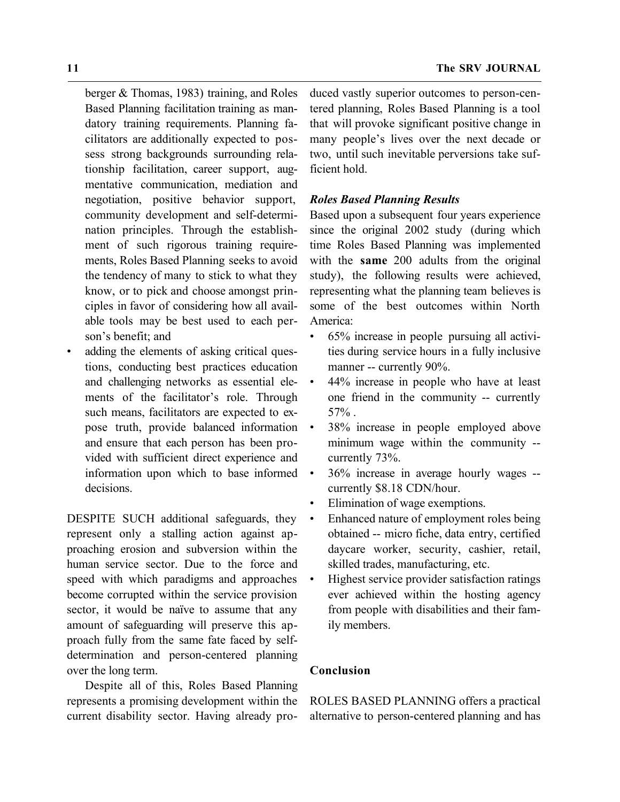berger & Thomas, 1983) training, and Roles Based Planning facilitation training as mandatory training requirements. Planning facilitators are additionally expected to possess strong backgrounds surrounding relationship facilitation, career support, augmentative communication, mediation and negotiation, positive behavior support, community development and self-determination principles. Through the establishment of such rigorous training requirements, Roles Based Planning seeks to avoid the tendency of many to stick to what they know, or to pick and choose amongst principles in favor of considering how all available tools may be best used to each person's benefit; and

• adding the elements of asking critical questions, conducting best practices education and challenging networks as essential elements of the facilitator's role. Through such means, facilitators are expected to expose truth, provide balanced information and ensure that each person has been provided with sufficient direct experience and information upon which to base informed decisions.

DESPITE SUCH additional safeguards, they represent only a stalling action against approaching erosion and subversion within the human service sector. Due to the force and speed with which paradigms and approaches become corrupted within the service provision sector, it would be naïve to assume that any amount of safeguarding will preserve this approach fully from the same fate faced by selfdetermination and person-centered planning over the long term.

Despite all of this, Roles Based Planning represents a promising development within the current disability sector. Having already produced vastly superior outcomes to person-centered planning, Roles Based Planning is a tool that will provoke significant positive change in many people's lives over the next decade or two, until such inevitable perversions take sufficient hold.

### *Roles Based Planning Results*

Based upon a subsequent four years experience since the original 2002 study (during which time Roles Based Planning was implemented with the **same** 200 adults from the original study), the following results were achieved, representing what the planning team believes is some of the best outcomes within North America:

- 65% increase in people pursuing all activities during service hours in a fully inclusive manner -- currently 90%.
- 44% increase in people who have at least one friend in the community -- currently 57% .
- 38% increase in people employed above minimum wage within the community - currently 73%.
- 36% increase in average hourly wages currently \$8.18 CDN/hour.
- Elimination of wage exemptions.
- Enhanced nature of employment roles being obtained -- micro fiche, data entry, certified daycare worker, security, cashier, retail, skilled trades, manufacturing, etc.
- Highest service provider satisfaction ratings ever achieved within the hosting agency from people with disabilities and their family members.

# **Conclusion**

ROLES BASED PLANNING offers a practical alternative to person-centered planning and has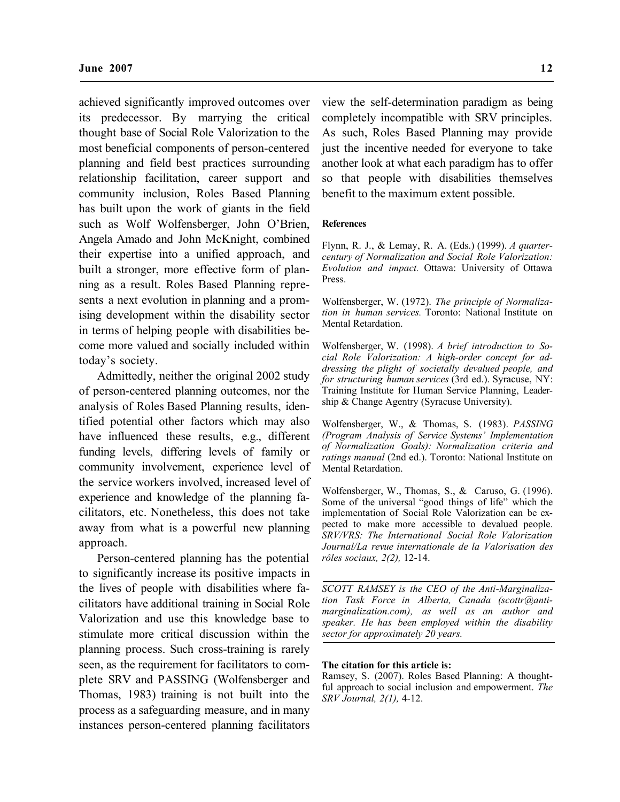achieved significantly improved outcomes over its predecessor. By marrying the critical thought base of Social Role Valorization to the most beneficial components of person-centered planning and field best practices surrounding relationship facilitation, career support and community inclusion, Roles Based Planning has built upon the work of giants in the field such as Wolf Wolfensberger, John O'Brien, Angela Amado and John McKnight, combined their expertise into a unified approach, and built a stronger, more effective form of planning as a result. Roles Based Planning represents a next evolution in planning and a promising development within the disability sector in terms of helping people with disabilities become more valued and socially included within today's society.

Admittedly, neither the original 2002 study of person-centered planning outcomes, nor the analysis of Roles Based Planning results, identified potential other factors which may also have influenced these results, e.g., different funding levels, differing levels of family or community involvement, experience level of the service workers involved, increased level of experience and knowledge of the planning facilitators, etc. Nonetheless, this does not take away from what is a powerful new planning approach.

Person-centered planning has the potential to significantly increase its positive impacts in the lives of people with disabilities where facilitators have additional training in Social Role Valorization and use this knowledge base to stimulate more critical discussion within the planning process. Such cross-training is rarely seen, as the requirement for facilitators to complete SRV and PASSING (Wolfensberger and Thomas, 1983) training is not built into the process as a safeguarding measure, and in many instances person-centered planning facilitators

view the self-determination paradigm as being completely incompatible with SRV principles. As such, Roles Based Planning may provide just the incentive needed for everyone to take another look at what each paradigm has to offer so that people with disabilities themselves benefit to the maximum extent possible.

#### **References**

Flynn, R. J., & Lemay, R. A. (Eds.) (1999). *A quartercentury of Normalization and Social Role Valorization: Evolution and impact.* Ottawa: University of Ottawa Press.

Wolfensberger, W. (1972). *The principle of Normalization in human services.* Toronto: National Institute on Mental Retardation.

Wolfensberger, W. (1998). *A brief introduction to Social Role Valorization: A high-order concept for addressing the plight of societally devalued people, and for structuring human services* (3rd ed.). Syracuse, NY: Training Institute for Human Service Planning, Leadership & Change Agentry (Syracuse University).

Wolfensberger, W., & Thomas, S. (1983). *PASSING (Program Analysis of Service Systems' Implementation of Normalization Goals): Normalization criteria and ratings manual* (2nd ed.). Toronto: National Institute on Mental Retardation.

Wolfensberger, W., Thomas, S., & Caruso, G. (1996). Some of the universal "good things of life" which the implementation of Social Role Valorization can be expected to make more accessible to devalued people. *SRV/VRS: The International Social Role Valorization Journal/La revue internationale de la Valorisation des rôles sociaux, 2(2),* 12-14.

*SCOTT RAMSEY is the CEO of the Anti-Marginalization Task Force in Alberta, Canada (scottr@antimarginalization.com), as well as an author and speaker. He has been employed within the disability sector for approximately 20 years.*

#### **The citation for this article is:**

Ramsey, S. (2007). Roles Based Planning: A thoughtful approach to social inclusion and empowerment. *The SRV Journal, 2(1),* 4-12.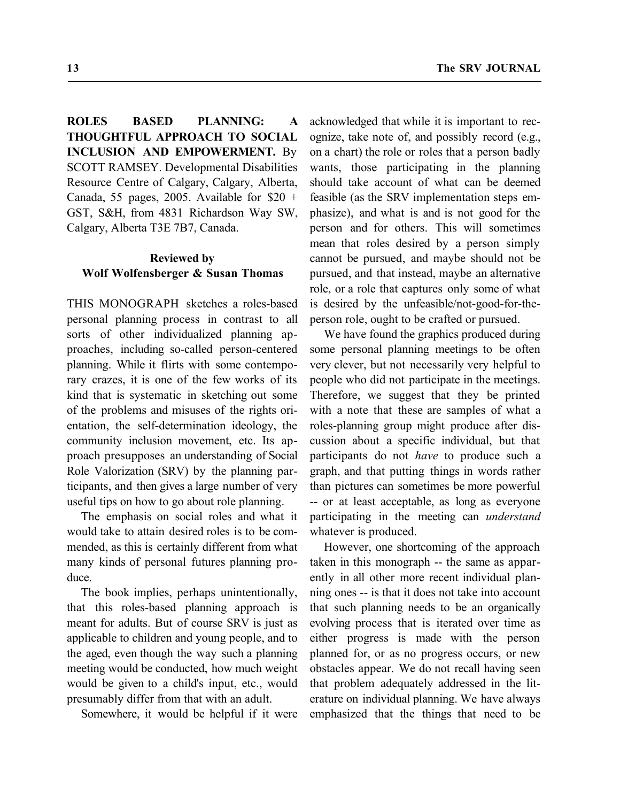**ROLES BASED PLANNING: A THOUGHTFUL APPROACH TO SOCIAL INCLUSION AND EMPOWERMENT.** By SCOTT RAMSEY. Developmental Disabilities Resource Centre of Calgary, Calgary, Alberta, Canada, 55 pages, 2005. Available for  $$20 +$ GST, S&H, from 4831 Richardson Way SW, Calgary, Alberta T3E 7B7, Canada.

# **Reviewed by Wolf Wolfensberger & Susan Thomas**

THIS MONOGRAPH sketches a roles-based personal planning process in contrast to all sorts of other individualized planning approaches, including so-called person-centered planning. While it flirts with some contemporary crazes, it is one of the few works of its kind that is systematic in sketching out some of the problems and misuses of the rights orientation, the self-determination ideology, the community inclusion movement, etc. Its approach presupposes an understanding of Social Role Valorization (SRV) by the planning participants, and then gives a large number of very useful tips on how to go about role planning.

The emphasis on social roles and what it would take to attain desired roles is to be commended, as this is certainly different from what many kinds of personal futures planning produce.

The book implies, perhaps unintentionally, that this roles-based planning approach is meant for adults. But of course SRV is just as applicable to children and young people, and to the aged, even though the way such a planning meeting would be conducted, how much weight would be given to a child's input, etc., would presumably differ from that with an adult.

Somewhere, it would be helpful if it were

acknowledged that while it is important to recognize, take note of, and possibly record (e.g., on a chart) the role or roles that a person badly wants, those participating in the planning should take account of what can be deemed feasible (as the SRV implementation steps emphasize), and what is and is not good for the person and for others. This will sometimes mean that roles desired by a person simply cannot be pursued, and maybe should not be pursued, and that instead, maybe an alternative role, or a role that captures only some of what is desired by the unfeasible/not-good-for-theperson role, ought to be crafted or pursued.

We have found the graphics produced during some personal planning meetings to be often very clever, but not necessarily very helpful to people who did not participate in the meetings. Therefore, we suggest that they be printed with a note that these are samples of what a roles-planning group might produce after discussion about a specific individual, but that participants do not *have* to produce such a graph, and that putting things in words rather than pictures can sometimes be more powerful -- or at least acceptable, as long as everyone participating in the meeting can *understand* whatever is produced.

However, one shortcoming of the approach taken in this monograph -- the same as apparently in all other more recent individual planning ones -- is that it does not take into account that such planning needs to be an organically evolving process that is iterated over time as either progress is made with the person planned for, or as no progress occurs, or new obstacles appear. We do not recall having seen that problem adequately addressed in the literature on individual planning. We have always emphasized that the things that need to be